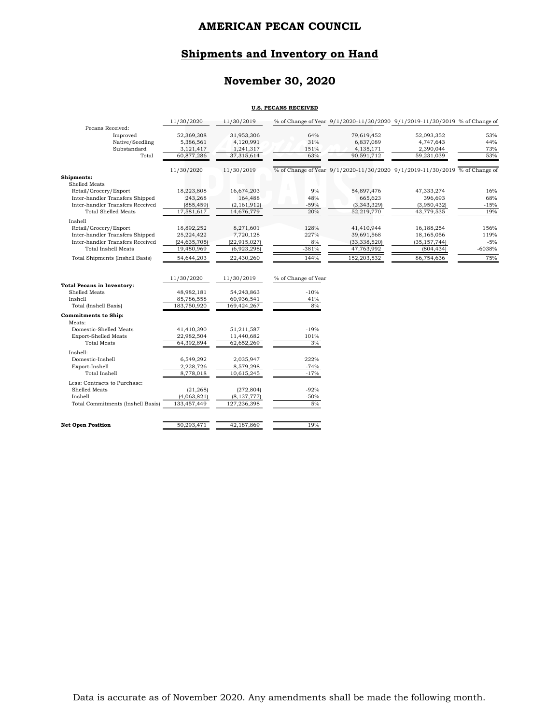# **Shipments and Inventory on Hand**

# **November 30, 2020**

#### **U.S. PECANS RECEIVED**

|                                        | 11/30/2020     | 11/30/2019     |                     |                | % of Change of Year 9/1/2020-11/30/2020 9/1/2019-11/30/2019 % of Change of |        |
|----------------------------------------|----------------|----------------|---------------------|----------------|----------------------------------------------------------------------------|--------|
| Pecans Received:                       |                |                |                     |                |                                                                            |        |
| Improved                               | 52,369,308     | 31,953,306     | 64%                 | 79,619,452     | 52,093,352                                                                 | 53%    |
| Native/Seedling                        | 5,386,561      | 4,120,991      | 31%                 | 6,837,089      | 4,747,643                                                                  | 44%    |
| Substandard                            | 3,121,417      | 1,241,317      | 151%                | 4,135,171      | 2,390,044                                                                  | 73%    |
| Total                                  | 60,877,286     | 37,315,614     | 63%                 | 90,591,712     | 59,231,039                                                                 | 53%    |
|                                        | 11/30/2020     | 11/30/2019     |                     |                | % of Change of Year 9/1/2020-11/30/2020 9/1/2019-11/30/2019 % of Change of |        |
| Shipments:                             |                |                |                     |                |                                                                            |        |
| Shelled Meats                          |                |                |                     |                |                                                                            |        |
| Retail/Grocery/Export                  | 18,223,808     | 16,674,203     | 9%                  | 54,897,476     | 47,333,274                                                                 | 16%    |
| Inter-handler Transfers Shipped        | 243,268        | 164,488        | 48%                 | 665,623        | 396,693                                                                    | 68%    |
| Inter-handler Transfers Received       | (885, 459)     | (2, 161, 912)  | $-59%$              | (3, 343, 329)  | (3,950,432)                                                                | $-15%$ |
| <b>Total Shelled Meats</b>             | 17,581,617     | 14,676,779     | 20%                 | 52,219,770     | 43,779,535                                                                 | 19%    |
| Inshell                                |                |                |                     |                |                                                                            |        |
| Retail/Grocery/Export                  | 18,892,252     | 8,271,601      | 128%                | 41,410,944     | 16,188,254                                                                 | 156%   |
| Inter-handler Transfers Shipped        | 25,224,422     | 7,720,128      | 227%                | 39,691,568     | 18,165,056                                                                 | 119%   |
| Inter-handler Transfers Received       | (24, 635, 705) | (22, 915, 027) | 8%                  | (33, 338, 520) | (35, 157, 744)                                                             | $-5%$  |
| <b>Total Inshell Meats</b>             | 19,480,969     | (6,923,298)    | $-381%$             | 47,763,992     | (804, 434)                                                                 | -6038% |
| <b>Total Shipments (Inshell Basis)</b> | 54,644,203     | 22,430,260     | 144%                | 152,203,532    | 86,754,636                                                                 | 75%    |
|                                        |                |                |                     |                |                                                                            |        |
|                                        |                |                |                     |                |                                                                            |        |
|                                        | 11/30/2020     | 11/30/2019     | % of Change of Year |                |                                                                            |        |
| <b>Total Pecans in Inventory:</b>      |                |                |                     |                |                                                                            |        |
| Shelled Meats                          | 48,982,181     | 54,243,863     | $-10%$              |                |                                                                            |        |
| Inshell                                | 85,786,558     | 60,936,541     | 41%                 |                |                                                                            |        |
| Total (Inshell Basis)                  | 183,750,920    | 169,424,267    | 8%                  |                |                                                                            |        |
| <b>Commitments to Ship:</b>            |                |                |                     |                |                                                                            |        |
| Meats:                                 |                |                |                     |                |                                                                            |        |
| Domestic-Shelled Meats                 | 41,410,390     | 51,211,587     | $-19%$              |                |                                                                            |        |
| <b>Export-Shelled Meats</b>            | 22,982,504     | 11,440,682     | 101%                |                |                                                                            |        |
| <b>Total Meats</b>                     | 64,392,894     | 62,652,269     | 3%                  |                |                                                                            |        |
| Inshell:                               |                |                |                     |                |                                                                            |        |
| Domestic-Inshell                       | 6,549,292      | 2,035,947      | 222%                |                |                                                                            |        |
| Export-Inshell                         | 2,228,726      | 8,579,298      | $-74%$              |                |                                                                            |        |
| Total Inshell                          | 8,778,018      | 10,615,245     | $-17%$              |                |                                                                            |        |
| Less: Contracts to Purchase:           |                |                |                     |                |                                                                            |        |
| Shelled Meats                          | (21, 268)      | (272, 804)     | $-92%$              |                |                                                                            |        |
| Inshell                                | (4,063,821)    | (8, 137, 777)  | -50%                |                |                                                                            |        |
| Total Commitments (Inshell Basis)      | 133,457,449    | 127,236,398    | 5%                  |                |                                                                            |        |
| <b>Net Open Position</b>               | 50,293,471     | 42,187,869     | 19%                 |                |                                                                            |        |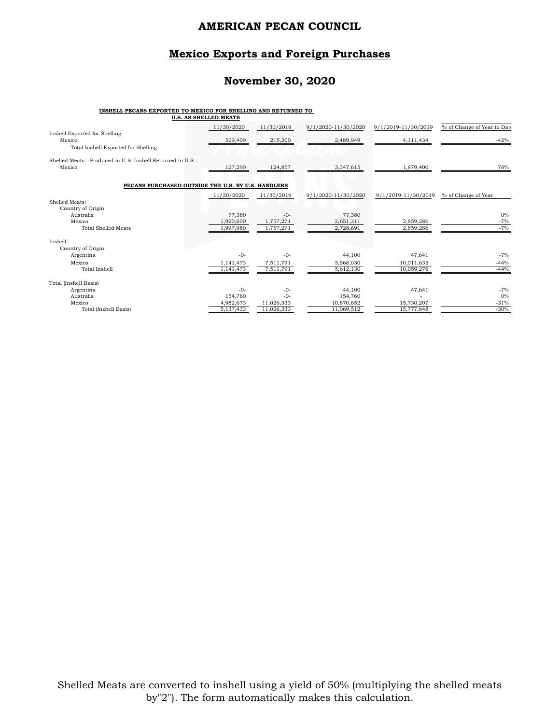## **Mexico Exports and Foreign Purchases**

## **November 30, 2020**

#### **INSHELL PECANS EXPORTED TO MEXICO FOR SHELLING AND RETURNED TO**

|                                                                                 | U.S. AS SHELLED MEATS |            |                     |                     |                             |
|---------------------------------------------------------------------------------|-----------------------|------------|---------------------|---------------------|-----------------------------|
|                                                                                 | 11/30/2020            | 11/30/2019 | 9/1/2020-11/30/2020 | 9/1/2019-11/30/2019 | % of Change of Year to Date |
| Inshell Exported for Shelling:<br>Mexico<br>Total Inshell Exported for Shelling | 529,409               | 215,200    | 2,489,949           | 4,311,434           | $-42%$                      |
| Shelled Meats - Produced in U.S. Inshell Returned to U.S.:<br>Mexico            | 127,290               | 124,857    | 3,347,615           | 1,879,400           | 78%                         |
| PECANS PURCHASED OUTSIDE THE U.S. BY U.S. HANDLERS                              |                       |            |                     |                     |                             |
|                                                                                 | 11/30/2020            | 11/30/2019 | 9/1/2020-11/30/2020 | 9/1/2019-11/30/2019 | % of Change of Year         |
| Shelled Meats:<br>Country of Origin:                                            |                       |            |                     |                     |                             |
| Australia                                                                       | 77,380                | $-0-$      | 77,380              |                     | 0%                          |
| Mexico                                                                          | 1,920,600             | 1,757,271  | 2,651,311           | 2.859.286           | $-7%$                       |
| <b>Total Shelled Meats</b>                                                      | 1,997,980             | 1,757,271  | 2,728,691           | 2,859,286           | $-7%$                       |
| Inshell:                                                                        |                       |            |                     |                     |                             |
| Country of Origin:                                                              |                       |            |                     |                     |                             |
| Argentina                                                                       | $-0-$                 | $-0-$      | 44,100              | 47,641              | $-7%$                       |
| Mexico                                                                          | 1,141,473             | 7,511,791  | 5,568,030           | 10,011,635          | $-44%$                      |
| Total Inshell                                                                   | 1,141,473             | 7,511,791  | 5,612,130           | 10,059,276          | $-44%$                      |
| Total (Inshell Basis)                                                           |                       |            |                     |                     |                             |
| Argentina                                                                       | $-0-$                 | $-0-$      | 44,100              | 47,641              | $-7%$                       |
| Australia                                                                       | 154,760               | $-0-$      | 154,760             |                     | 0%                          |
| Mexico                                                                          | 4,982,673             | 11,026,333 | 10,870,652          | 15,730,207          | $-31%$                      |
| Total (Inshell Basis)                                                           | 5,137,433             | 11,026,333 | 11,069,512          | 15,777,848          | $-30%$                      |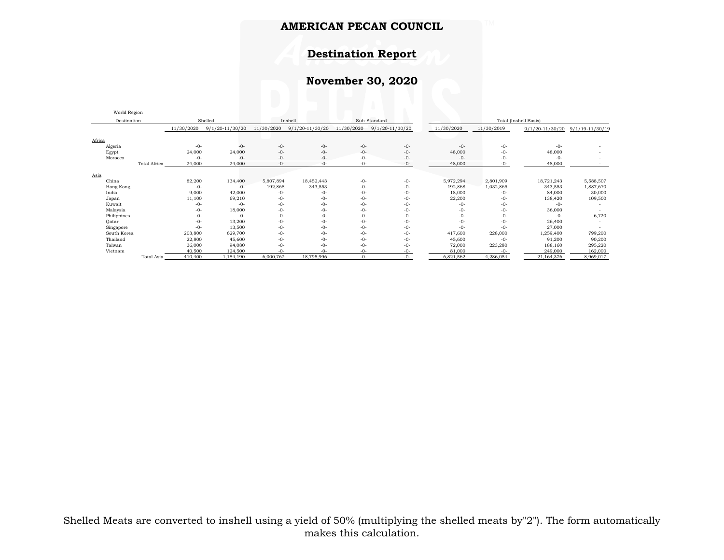## **Destination Report**

# **November 30, 2020**

| world <i>region</i> |                     |            |                     |            |                     |            |                     |            |            |                       |                     |  |  |
|---------------------|---------------------|------------|---------------------|------------|---------------------|------------|---------------------|------------|------------|-----------------------|---------------------|--|--|
| Destination         |                     |            | Shelled             |            | Inshell             |            | Sub-Standard        |            |            | Total (Inshell Basis) |                     |  |  |
|                     |                     | 11/30/2020 | $9/1/20 - 11/30/20$ | 11/30/2020 | $9/1/20 - 11/30/20$ | 11/30/2020 | $9/1/20 - 11/30/20$ | 11/30/2020 | 11/30/2019 | 9/1/20-11/30/20       | $9/1/19 - 11/30/19$ |  |  |
| Africa              |                     |            |                     |            |                     |            |                     |            |            |                       |                     |  |  |
| Algeria             |                     | $-0-$      | $-0-$               | $-0-$      | $-0-$               | $-0-$      | $-0-$               | $-0-$      | $-0-$      | $-0-$                 |                     |  |  |
| Egypt               |                     | 24,000     | 24,000              | $-0-$      | $-0-$               | $-0-$      | $-0-$               | 48,000     | $-0-$      | 48,000                |                     |  |  |
| Morocco             |                     | $-0-$      | $-0-$               | $-0-$      | $-0-$               | $-0-$      | $-0-$               | $-0-$      | $-0-$      | $-0-$                 |                     |  |  |
|                     | <b>Total Africa</b> | 24,000     | 24,000              | $-0-$      | $-0-$               | $-0-$      | $-0-$               | 48,000     | $-0-$      | 48,000                |                     |  |  |
| Asia                |                     |            |                     |            |                     |            |                     |            |            |                       |                     |  |  |
| China               |                     | 82,200     | 134,400             | 5,807,894  | 18,452,443          | $-0-$      | $-0-$               | 5,972,294  | 2,801,909  | 18,721,243            | 5,588,507           |  |  |
| Hong Kong           |                     | $-0-$      | $-0-$               | 192,868    | 343,553             | $-0-$      | $-0-$               | 192,868    | 1,032,865  | 343,553               | 1,887,670           |  |  |
| India               |                     | 9,000      | 42,000              | $-0-$      | -0-                 | $-0-$      | $-0-$               | 18,000     | $-0-$      | 84,000                | 30,000              |  |  |
| Japan               |                     | 11,100     | 69,210              | $-0-$      | $-0-$               | $-0-$      | $-0-$               | 22,200     | $-0-$      | 138,420               | 109,500             |  |  |
| Kuwait              |                     | $-0-$      | $-0-$               | $-0-$      | $-0-$               | $-0-$      | -0-                 | $-0-$      | $-0-$      | $-0-$                 |                     |  |  |
| Malaysia            |                     | $-0-$      | 18,000              | $-0-$      | -0-                 | $-0-$      | -0-                 | $-0-$      | $-0-$      | 36,000                |                     |  |  |
| Philippines         |                     | $-0-$      | $-0-$               | $-0-$      | $-0-$               | $-0-$      | -0-                 | $-0-$      | $-0-$      | $-0-$                 | 6,720               |  |  |
| Qatar               |                     | $-0-$      | 13,200              | $-0-$      | -0-                 | $-0-$      | -0-                 | $-0-$      | $-0-$      | 26,400                |                     |  |  |
| Singapore           |                     | $-0-$      | 13,500              | $-0-$      | $-0-$               | $-0-$      | -0-                 | $-0-$      | $-0-$      | 27,000                |                     |  |  |
| South Korea         |                     | 208,800    | 629,700             | $-0-$      | -0-                 | $-0-$      | -0-                 | 417,600    | 228,000    | 1,259,400             | 799,200             |  |  |
| Thailand            |                     | 22,800     | 45,600              | $-0-$      | $-0-$               | $-0-$      | -0-                 | 45,600     | $-0-$      | 91,200                | 90,200              |  |  |
| Taiwan              |                     | 36,000     | 94,080              | $-0-$      | $-0-$               | $-0-$      | $-0-$               | 72,000     | 223,280    | 188,160               | 295,220             |  |  |
| Vietnam             |                     | 40,500     | 124,500             | $-0-$      | -0-                 | $-0-$      | -0-                 | 81,000     | $-0-$      | 249,000               | 162,000             |  |  |
|                     | Total Asia          | 410,400    | 1,184,190           | 6,000,762  | 18,795,996          | $-0-$      | $-0-$               | 6,821,562  | 4,286,054  | 21,164,376            | 8,969,017           |  |  |

World Region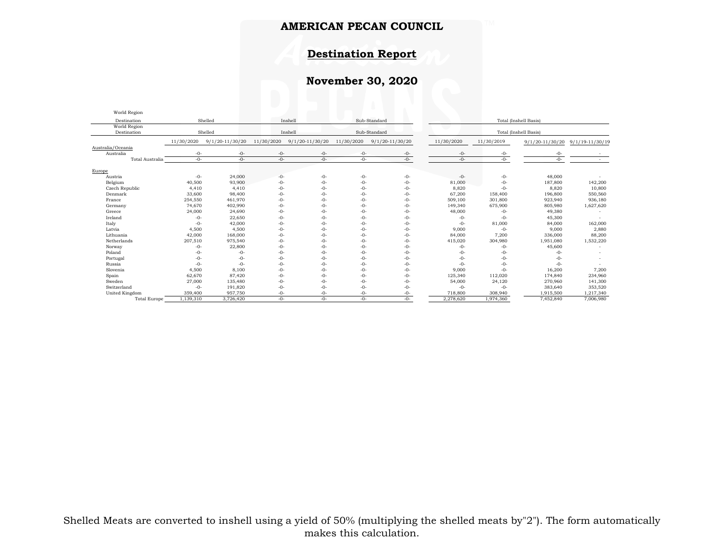## **Destination Report**

# **November 30, 2020**

| World Region                |            |                     |            |                     |            |                     |                       |                       |                     |                     |  |  |
|-----------------------------|------------|---------------------|------------|---------------------|------------|---------------------|-----------------------|-----------------------|---------------------|---------------------|--|--|
| Destination                 |            | Shelled             |            | Inshell             |            | Sub-Standard        |                       | Total (Inshell Basis) |                     |                     |  |  |
| World Region<br>Destination |            | Shelled             |            | Inshell             |            | Sub-Standard        | Total (Inshell Basis) |                       |                     |                     |  |  |
|                             | 11/30/2020 | $9/1/20 - 11/30/20$ | 11/30/2020 | $9/1/20 - 11/30/20$ | 11/30/2020 | $9/1/20 - 11/30/20$ | 11/30/2020            | 11/30/2019            | $9/1/20 - 11/30/20$ | $9/1/19 - 11/30/19$ |  |  |
| Australia/Oceania           |            |                     |            |                     |            |                     |                       |                       |                     |                     |  |  |
| Australia                   | -0-        | $-0-$               | $-0-$      | $-0-$               | $-0-$      | -0-                 | $-0-$                 | -0-                   | -0-                 |                     |  |  |
| Total Australia             | $-()$ -    | $-0-$               | $-()$ -    | $-0-$               | $-()$ -    | $-0-$               | $-()$ -               | $-()$ -               | $-()$ -             |                     |  |  |
| Europe                      |            |                     |            |                     |            |                     |                       |                       |                     |                     |  |  |
| Austria                     | $-0-$      | 24,000              | $-0-$      | $-0-$               | -0-        | $-0-$               | $-0-$                 | $-0-$                 | 48,000              |                     |  |  |
| Belgium                     | 40,500     | 93,900              | $-0-$      | $-0-$               | $-0-$      | $-0-$               | 81,000                | $-0-$                 | 187,800             | 142,200             |  |  |
| Czech Republic              | 4,410      | 4,410               | $-0-$      | $-0-$               | $-0-$      | $-0-$               | 8,820                 | $-0-$                 | 8,820               | 10,800              |  |  |
| Denmark                     | 33,600     | 98,400              | $-0-$      | $-0-$               | $-0-$      | $-0-$               | 67,200                | 158,400               | 196,800             | 550,560             |  |  |
| France                      | 254,550    | 461,970             | $-0-$      | $-0-$               | $-0-$      | $-0-$               | 509,100               | 301,800               | 923,940             | 936,180             |  |  |
| Germany                     | 74,670     | 402,990             | $-0-$      | $-0-$               | $-0-$      | $-0-$               | 149,340               | 675,900               | 805,980             | 1,627,620           |  |  |
| Greece                      | 24,000     | 24,690              | $-0-$      | $-0-$               | $-0-$      | $-0-$               | 48,000                | $-0-$                 | 49,380              |                     |  |  |
| Ireland                     | $-0-$      | 22,650              | $-0-$      | $-0-$               | $-0-$      | $-0-$               | $-0-$                 | $-0-$                 | 45,300              |                     |  |  |
| Italy                       | $-0-$      | 42,000              | $-0-$      | $-0-$               | $-0-$      | $-0-$               | $-0-$                 | 81,000                | 84,000              | 162,000             |  |  |
| Latvia                      | 4,500      | 4,500               | $-0-$      | $-0-$               | $-0-$      | $-0-$               | 9,000                 | $-0-$                 | 9,000               | 2,880               |  |  |
| Lithuania                   | 42,000     | 168,000             | $-0-$      | $-0-$               | $-0-$      | $-0-$               | 84,000                | 7,200                 | 336,000             | 88,200              |  |  |
| Netherlands                 | 207,510    | 975,540             | $-0-$      | $-0-$               | $-0-$      | $-0-$               | 415,020               | 304,980               | 1,951,080           | 1,532,220           |  |  |
| Norway                      | $-0-$      | 22,800              | $-0-$      | $-0-$               | $-0-$      | $-0-$               | $-0-$                 | $-0-$                 | 45,600              |                     |  |  |
| Poland                      | $-0-$      | $-0-$               | $-0-$      | $-0-$               | $-0-$      | $-0-$               | $-0-$                 | $-0-$                 | $-0-$               |                     |  |  |
| Portugal                    | $-0-$      | $-0-$               | $-0-$      | $-0-$               | $-0-$      | $-0-$               | $-0-$                 | $-0-$                 | $-0-$               |                     |  |  |
| Russia                      | $-0-$      | $-0-$               | $-0-$      | $-0-$               | $-0-$      | $-0-$               | $-0-$                 | $-0-$                 | $-0-$               |                     |  |  |
| Slovenia                    | 4,500      | 8,100               | $-0-$      | $-0-$               | $-0-$      | $-0-$               | 9,000                 | $-0-$                 | 16,200              | 7,200               |  |  |
| Spain                       | 62,670     | 87,420              | $-0-$      | $-0-$               | $-0-$      | $-0-$               | 125,340               | 112,020               | 174,840             | 234,960             |  |  |
| Sweden                      | 27,000     | 135,480             | $-0-$      | $-0-$               | $-0-$      | $-0-$               | 54,000                | 24,120                | 270,960             | 141,300             |  |  |
| Switzerland                 | $-0-$      | 191,820             | $-0-$      | $-()$ -             | $-()$ -    | $-()$ -             | $-0-$                 | $-0-$                 | 383,640             | 353,520             |  |  |
| United Kingdom              | 359,400    | 957,750             | $-0-$      | $-0-$               | $-0-$      | -0-                 | 718,800               | 308,940               | 1,915,500           | 1,217,340           |  |  |
| <b>Total Europe</b>         | 1,139,310  | 3,726,420           | $-()$ -    | $-0-$               | $-()$ -    | $-0-$               | 2,278,620             | 1,974,360             | 7,452,840           | 7,006,980           |  |  |